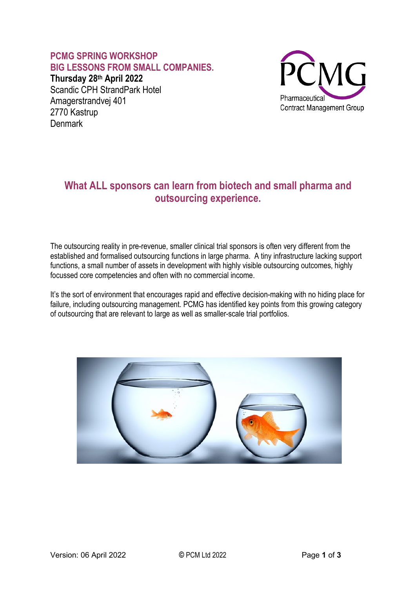### **PCMG SPRING WORKSHOP BIG LESSONS FROM SMALL COMPANIES.**

**Thursday 28th April 2022** Scandic CPH StrandPark Hotel Amagerstrandvej 401 2770 Kastrup **Denmark** 



## **What ALL sponsors can learn from biotech and small pharma and outsourcing experience.**

The outsourcing reality in pre-revenue, smaller clinical trial sponsors is often very different from the established and formalised outsourcing functions in large pharma. A tiny infrastructure lacking support functions, a small number of assets in development with highly visible outsourcing outcomes, highly focussed core competencies and often with no commercial income.

It's the sort of environment that encourages rapid and effective decision-making with no hiding place for failure, including outsourcing management. PCMG has identified key points from this growing category of outsourcing that are relevant to large as well as smaller-scale trial portfolios.

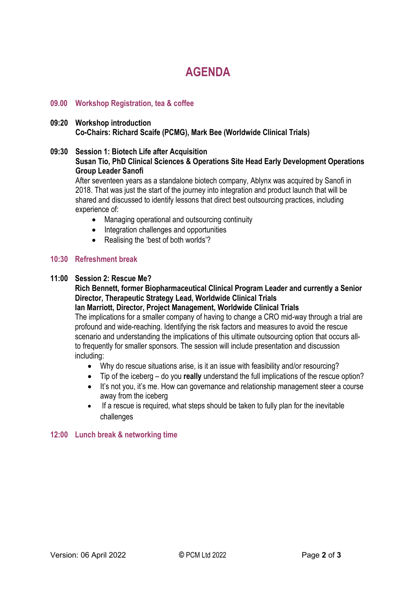# **AGENDA**

#### **09.00 Workshop Registration, tea & coffee**

#### **09:20 Workshop introduction Co-Chairs: Richard Scaife (PCMG), Mark Bee (Worldwide Clinical Trials)**

#### **09:30 Session 1: Biotech Life after Acquisition Susan Tio, PhD Clinical Sciences & Operations Site Head Early Development Operations Group Leader Sanofi**

After seventeen years as a standalone biotech company, Ablynx was acquired by Sanofi in 2018. That was just the start of the journey into integration and product launch that will be shared and discussed to identify lessons that direct best outsourcing practices, including experience of:

- Managing operational and outsourcing continuity
- Integration challenges and opportunities
- Realising the 'best of both worlds'?

#### **10:30 Refreshment break**

#### **11:00 Session 2: Rescue Me?**

**Rich Bennett, former Biopharmaceutical Clinical Program Leader and currently a Senior Director, Therapeutic Strategy Lead, Worldwide Clinical Trials**

**Ian Marriott, Director, Project Management, Worldwide Clinical Trials** The implications for a smaller company of having to change a CRO mid-way through a trial are profound and wide-reaching. Identifying the risk factors and measures to avoid the rescue scenario and understanding the implications of this ultimate outsourcing option that occurs allto frequently for smaller sponsors. The session will include presentation and discussion including:

- Why do rescue situations arise, is it an issue with feasibility and/or resourcing?
- Tip of the iceberg do you **really** understand the full implications of the rescue option?
- It's not you, it's me. How can governance and relationship management steer a course away from the iceberg
- If a rescue is required, what steps should be taken to fully plan for the inevitable challenges

#### **12:00 Lunch break & networking time**